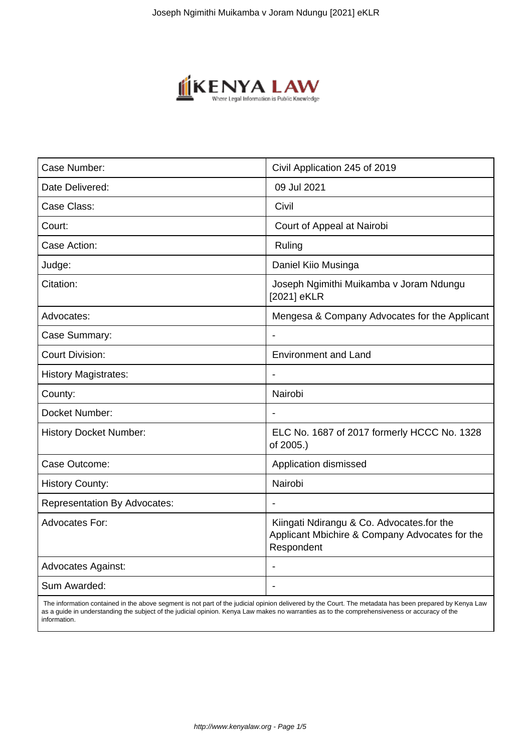

| Case Number:                        | Civil Application 245 of 2019                                                                             |
|-------------------------------------|-----------------------------------------------------------------------------------------------------------|
| Date Delivered:                     | 09 Jul 2021                                                                                               |
| Case Class:                         | Civil                                                                                                     |
| Court:                              | Court of Appeal at Nairobi                                                                                |
| Case Action:                        | Ruling                                                                                                    |
| Judge:                              | Daniel Kiio Musinga                                                                                       |
| Citation:                           | Joseph Ngimithi Muikamba v Joram Ndungu<br>[2021] eKLR                                                    |
| Advocates:                          | Mengesa & Company Advocates for the Applicant                                                             |
| Case Summary:                       | $\blacksquare$                                                                                            |
| <b>Court Division:</b>              | <b>Environment and Land</b>                                                                               |
| <b>History Magistrates:</b>         |                                                                                                           |
| County:                             | Nairobi                                                                                                   |
| Docket Number:                      |                                                                                                           |
| <b>History Docket Number:</b>       | ELC No. 1687 of 2017 formerly HCCC No. 1328<br>of 2005.)                                                  |
| Case Outcome:                       | Application dismissed                                                                                     |
| <b>History County:</b>              | Nairobi                                                                                                   |
| <b>Representation By Advocates:</b> |                                                                                                           |
| <b>Advocates For:</b>               | Kiingati Ndirangu & Co. Advocates.for the<br>Applicant Mbichire & Company Advocates for the<br>Respondent |
| <b>Advocates Against:</b>           | $\blacksquare$                                                                                            |
| Sum Awarded:                        | $\overline{\phantom{a}}$                                                                                  |

 The information contained in the above segment is not part of the judicial opinion delivered by the Court. The metadata has been prepared by Kenya Law as a guide in understanding the subject of the judicial opinion. Kenya Law makes no warranties as to the comprehensiveness or accuracy of the information.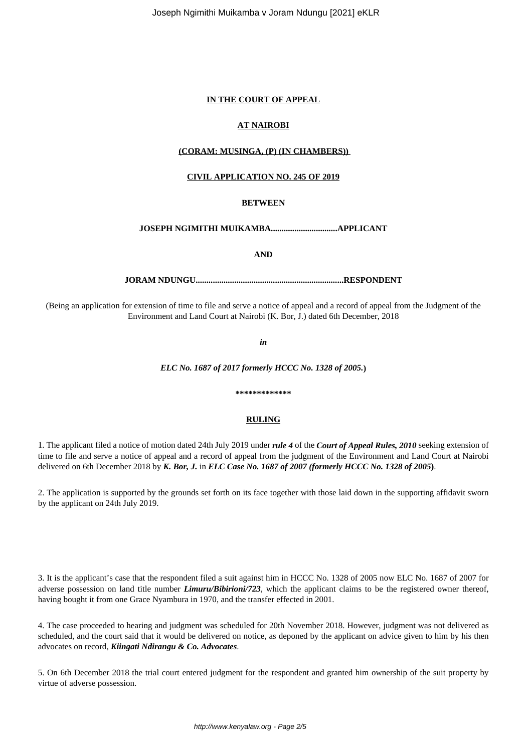# **IN THE COURT OF APPEAL**

# **AT NAIROBI**

# **(CORAM: MUSINGA, (P) (IN CHAMBERS))**

## **CIVIL APPLICATION NO. 245 OF 2019**

# **BETWEEN**

# **JOSEPH NGIMITHI MUIKAMBA...............................APPLICANT**

### **AND**

### **JORAM NDUNGU.....................................................................RESPONDENT**

(Being an application for extension of time to file and serve a notice of appeal and a record of appeal from the Judgment of the Environment and Land Court at Nairobi (K. Bor, J.) dated 6th December, 2018

*in*

### *ELC No. 1687 of 2017 formerly HCCC No. 1328 of 2005.***)**

#### **\*\*\*\*\*\*\*\*\*\*\*\*\***

### **RULING**

1. The applicant filed a notice of motion dated 24th July 2019 under *rule 4* of the *Court of Appeal Rules, 2010* seeking extension of time to file and serve a notice of appeal and a record of appeal from the judgment of the Environment and Land Court at Nairobi delivered on 6th December 2018 by *K. Bor, J.* in *ELC Case No. 1687 of 2007 (formerly HCCC No. 1328 of 2005***)**.

2. The application is supported by the grounds set forth on its face together with those laid down in the supporting affidavit sworn by the applicant on 24th July 2019.

3. It is the applicant's case that the respondent filed a suit against him in HCCC No. 1328 of 2005 now ELC No. 1687 of 2007 for adverse possession on land title number *Limuru/Bibirioni/723*, which the applicant claims to be the registered owner thereof, having bought it from one Grace Nyambura in 1970, and the transfer effected in 2001.

4. The case proceeded to hearing and judgment was scheduled for 20th November 2018. However, judgment was not delivered as scheduled, and the court said that it would be delivered on notice, as deponed by the applicant on advice given to him by his then advocates on record, *Kiingati Ndirangu & Co. Advocates*.

5. On 6th December 2018 the trial court entered judgment for the respondent and granted him ownership of the suit property by virtue of adverse possession.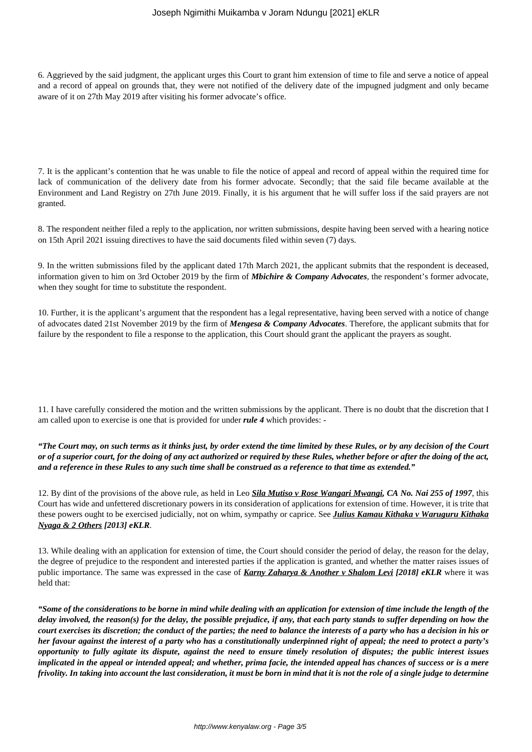6. Aggrieved by the said judgment, the applicant urges this Court to grant him extension of time to file and serve a notice of appeal and a record of appeal on grounds that, they were not notified of the delivery date of the impugned judgment and only became aware of it on 27th May 2019 after visiting his former advocate's office.

7. It is the applicant's contention that he was unable to file the notice of appeal and record of appeal within the required time for lack of communication of the delivery date from his former advocate. Secondly; that the said file became available at the Environment and Land Registry on 27th June 2019. Finally, it is his argument that he will suffer loss if the said prayers are not granted.

8. The respondent neither filed a reply to the application, nor written submissions, despite having been served with a hearing notice on 15th April 2021 issuing directives to have the said documents filed within seven (7) days.

9. In the written submissions filed by the applicant dated 17th March 2021, the applicant submits that the respondent is deceased, information given to him on 3rd October 2019 by the firm of *Mbichire & Company Advocates,* the respondent's former advocate, when they sought for time to substitute the respondent.

10. Further, it is the applicant's argument that the respondent has a legal representative, having been served with a notice of change of advocates dated 21st November 2019 by the firm of *Mengesa & Company Advocates*. Therefore, the applicant submits that for failure by the respondent to file a response to the application, this Court should grant the applicant the prayers as sought.

11. I have carefully considered the motion and the written submissions by the applicant. There is no doubt that the discretion that I am called upon to exercise is one that is provided for under *rule 4* which provides: -

*"The Court may, on such terms as it thinks just, by order extend the time limited by these Rules, or by any decision of the Court or of a superior court, for the doing of any act authorized or required by these Rules, whether before or after the doing of the act, and a reference in these Rules to any such time shall be construed as a reference to that time as extended."*

12. By dint of the provisions of the above rule, as held in Leo *Sila Mutiso v Rose Wangari Mwangi, CA No. Nai 255 of 1997*, this Court has wide and unfettered discretionary powers in its consideration of applications for extension of time. However, it is trite that these powers ought to be exercised judicially, not on whim, sympathy or caprice. See *Julius Kamau Kithaka v Waruguru Kithaka Nyaga & 2 Others [2013] eKLR.*

13. While dealing with an application for extension of time, the Court should consider the period of delay, the reason for the delay, the degree of prejudice to the respondent and interested parties if the application is granted, and whether the matter raises issues of public importance. The same was expressed in the case of *Karny Zaharya & Another v Shalom Levi [2018] eKLR* where it was held that:

*"Some of the considerations to be borne in mind while dealing with an application for extension of time include the length of the delay involved, the reason(s) for the delay, the possible prejudice, if any, that each party stands to suffer depending on how the court exercises its discretion; the conduct of the parties; the need to balance the interests of a party who has a decision in his or her favour against the interest of a party who has a constitutionally underpinned right of appeal; the need to protect a party's opportunity to fully agitate its dispute, against the need to ensure timely resolution of disputes; the public interest issues implicated in the appeal or intended appeal; and whether, prima facie, the intended appeal has chances of success or is a mere frivolity. In taking into account the last consideration, it must be born in mind that it is not the role of a single judge to determine*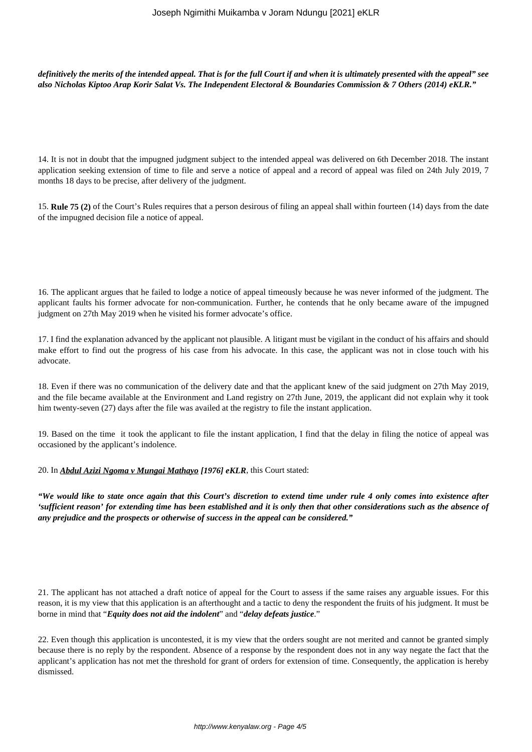*definitively the merits of the intended appeal. That is for the full Court if and when it is ultimately presented with the appeal" see also Nicholas Kiptoo Arap Korir Salat Vs. The Independent Electoral & Boundaries Commission & 7 Others (2014) eKLR."*

14. It is not in doubt that the impugned judgment subject to the intended appeal was delivered on 6th December 2018. The instant application seeking extension of time to file and serve a notice of appeal and a record of appeal was filed on 24th July 2019, 7 months 18 days to be precise, after delivery of the judgment.

15. **Rule 75 (2)** of the Court's Rules requires that a person desirous of filing an appeal shall within fourteen (14) days from the date of the impugned decision file a notice of appeal.

16. The applicant argues that he failed to lodge a notice of appeal timeously because he was never informed of the judgment. The applicant faults his former advocate for non-communication. Further, he contends that he only became aware of the impugned judgment on 27th May 2019 when he visited his former advocate's office.

17. I find the explanation advanced by the applicant not plausible. A litigant must be vigilant in the conduct of his affairs and should make effort to find out the progress of his case from his advocate. In this case, the applicant was not in close touch with his advocate.

18. Even if there was no communication of the delivery date and that the applicant knew of the said judgment on 27th May 2019, and the file became available at the Environment and Land registry on 27th June, 2019, the applicant did not explain why it took him twenty-seven (27) days after the file was availed at the registry to file the instant application.

19. Based on the time it took the applicant to file the instant application, I find that the delay in filing the notice of appeal was occasioned by the applicant's indolence.

#### 20. In *Abdul Azizi Ngoma v Mungai Mathayo [1976] eKLR*, this Court stated:

*"We would like to state once again that this Court's discretion to extend time under rule 4 only comes into existence after 'sufficient reason' for extending time has been established and it is only then that other considerations such as the absence of any prejudice and the prospects or otherwise of success in the appeal can be considered."*

21. The applicant has not attached a draft notice of appeal for the Court to assess if the same raises any arguable issues. For this reason, it is my view that this application is an afterthought and a tactic to deny the respondent the fruits of his judgment. It must be borne in mind that "*Equity does not aid the indolent*" and "*delay defeats justice*."

22. Even though this application is uncontested, it is my view that the orders sought are not merited and cannot be granted simply because there is no reply by the respondent. Absence of a response by the respondent does not in any way negate the fact that the applicant's application has not met the threshold for grant of orders for extension of time. Consequently, the application is hereby dismissed.